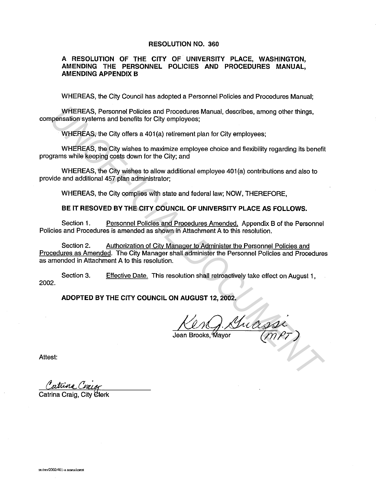## RESOLUTION NO. 360

# A RESOLUTION OF THE CITY OF UNIVERSITY PLACE, WASHINGTON, AMENDING THE PERSONNEL POLICIES AND PROCEDURES MANUAL, AMENDING APPENDIX B

WHEREAS, the City Council has adopted a Personnel Policies and Procedures Manual;

WHEREAS, Personnel Policies and Procedures Manual, describes, among other things, compensation systems and benefits for City employees;

WHEREAS, the City offers a 401 (a) retirement plan for City employees;

WHEREAS, the City wishes to maximize employee choice and flexibility regarding its benefit programs while keeping costs down for the City; and

WHEREAS, the City wishes to allow additional employee 401 (a) contributions and also to provide and additional 457 plan administrator;

WHEREAS, the City complies with state and federal law; NOW, THEREFORE,

BE IT RESOVED BY THE CITY COUNCIL OF UNIVERSITY PLACE AS FOLLOWS.

Section 1. Personnel Policies and Procedures Amended. Appendix B of the Personnel Policies and Procedures is amended as shown in Attachment A to this resolution.

Section 2. Authorization of Citv Manager to Administer the Personnel Policies and Procedures as Amended. The City Manager shall administer the Personnel Policies and Procedures as amended in Attachment A to this resolution. WHEREAS, Personnel Policies and Procedures Manual, describes, among other things,<br>pensation systems and benefits for City employees;<br>
WHEREAS, the City offers a 401(a) retirement plan for City employees;<br>
WHEREAS, the City

Section 3. Effective Date. This resolution shall retroactively take effect on August 1, 2002.

ADOPTED BY THE CITY COUNCIL ON AUGUST 12, 2002.

Attest:

Catrina Cizior